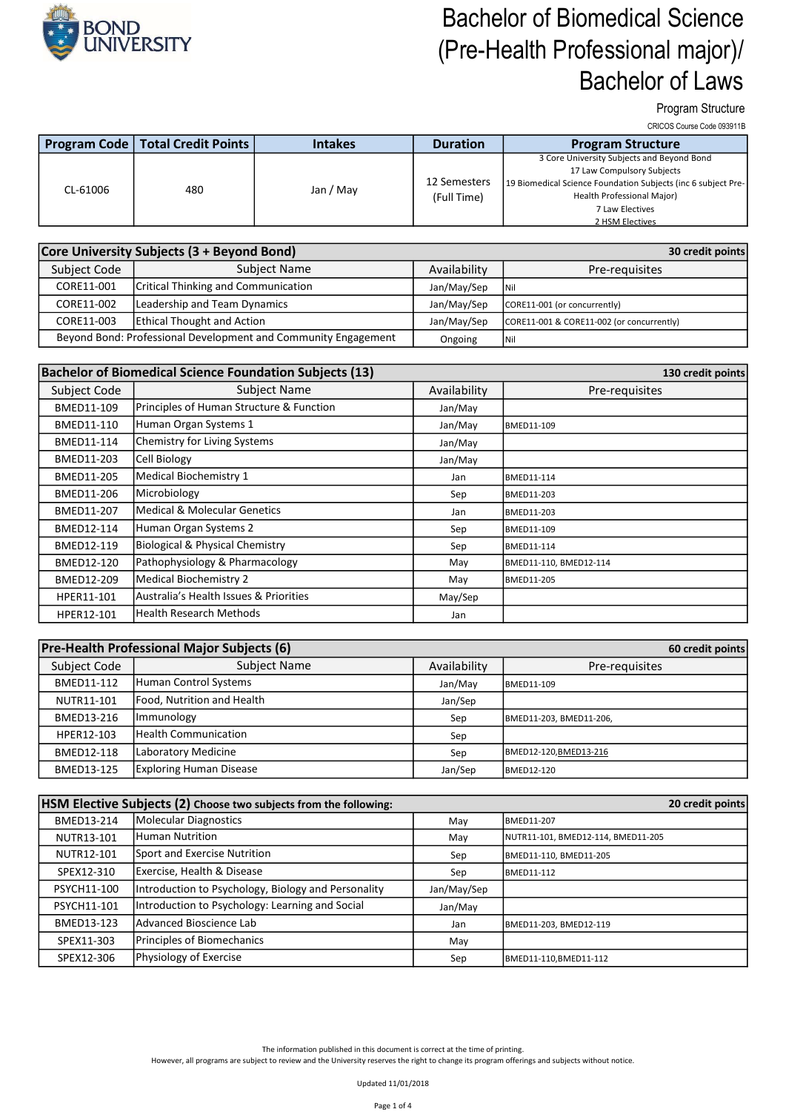

Program Structure

CRICOS Course Code 093911B

|          | <b>Program Code   Total Credit Points  </b> | <b>Intakes</b> | <b>Duration</b> | <b>Program Structure</b>                                      |
|----------|---------------------------------------------|----------------|-----------------|---------------------------------------------------------------|
|          |                                             |                |                 | 3 Core University Subjects and Beyond Bond                    |
|          |                                             |                |                 | 17 Law Compulsory Subjects                                    |
| CL-61006 | 480                                         | Jan / May      | 12 Semesters    | 19 Biomedical Science Foundation Subjects (inc 6 subject Pre- |
|          |                                             |                | (Full Time)     | Health Professional Major)                                    |
|          |                                             |                |                 | 7 Law Electives                                               |
|          |                                             |                |                 | 2 HSM Electives                                               |

|                                                                | Core University Subjects (3 + Beyond Bond) | 30 credit points |                                           |
|----------------------------------------------------------------|--------------------------------------------|------------------|-------------------------------------------|
| Subject Name<br>Subject Code                                   |                                            | Availability     | Pre-requisites                            |
| CORE11-001                                                     | <b>Critical Thinking and Communication</b> |                  | <b>INil</b>                               |
| Leadership and Team Dynamics<br>CORE11-002                     |                                            | Jan/May/Sep      | CORE11-001 (or concurrently)              |
| CORE11-003                                                     | <b>Ethical Thought and Action</b>          | Jan/May/Sep      | CORE11-001 & CORE11-002 (or concurrently) |
| Beyond Bond: Professional Development and Community Engagement |                                            | Ongoing          | <b>INil</b>                               |

|              | <b>Bachelor of Biomedical Science Foundation Subjects (13)</b> | 130 credit points |                        |
|--------------|----------------------------------------------------------------|-------------------|------------------------|
| Subject Code | <b>Subject Name</b>                                            | Availability      | Pre-requisites         |
| BMED11-109   | Principles of Human Structure & Function                       | Jan/May           |                        |
| BMED11-110   | Human Organ Systems 1                                          | Jan/May           | BMED11-109             |
| BMED11-114   | Chemistry for Living Systems                                   | Jan/May           |                        |
| BMED11-203   | Cell Biology                                                   | Jan/May           |                        |
| BMED11-205   | Medical Biochemistry 1                                         | Jan               | <b>BMED11-114</b>      |
| BMED11-206   | Microbiology                                                   | Sep               | <b>BMED11-203</b>      |
| BMED11-207   | Medical & Molecular Genetics                                   | Jan               | <b>BMED11-203</b>      |
| BMED12-114   | Human Organ Systems 2                                          | Sep               | <b>BMED11-109</b>      |
| BMED12-119   | Biological & Physical Chemistry                                | Sep               | <b>BMED11-114</b>      |
| BMED12-120   | Pathophysiology & Pharmacology                                 | May               | BMED11-110, BMED12-114 |
| BMED12-209   | Medical Biochemistry 2                                         | May               | <b>BMED11-205</b>      |
| HPER11-101   | Australia's Health Issues & Priorities                         | May/Sep           |                        |
| HPER12-101   | Health Research Methods                                        | Jan               |                        |

| Pre-Health Professional Major Subjects (6)<br>60 credit points |                            |              |                         |  |
|----------------------------------------------------------------|----------------------------|--------------|-------------------------|--|
| Subject Code                                                   | <b>Subject Name</b>        | Availability | Pre-requisites          |  |
| BMED11-112                                                     | Human Control Systems      | Jan/May      | BMED11-109              |  |
| NUTR11-101                                                     | Food, Nutrition and Health | Jan/Sep      |                         |  |
| BMED13-216                                                     | Immunology                 | Sep          | BMED11-203, BMED11-206, |  |
| HPER12-103                                                     | Health Communication       | Sep          |                         |  |
| BMED12-118                                                     | Laboratory Medicine        | Sep          | BMED12-120, BMED13-216  |  |
| BMED13-125                                                     | Exploring Human Disease    | Jan/Sep      | BMED12-120              |  |

| HSM Elective Subjects (2) Choose two subjects from the following:<br>20 credit points |                                                     |             |                                    |  |
|---------------------------------------------------------------------------------------|-----------------------------------------------------|-------------|------------------------------------|--|
| BMED13-214                                                                            | Molecular Diagnostics                               | May         | <b>BMED11-207</b>                  |  |
| NUTR13-101                                                                            | Human Nutrition                                     | May         | NUTR11-101, BMED12-114, BMED11-205 |  |
| NUTR12-101                                                                            | Sport and Exercise Nutrition                        | Sep         | BMED11-110, BMED11-205             |  |
| SPEX12-310                                                                            | Exercise, Health & Disease                          | Sep         | BMED11-112                         |  |
| PSYCH11-100                                                                           | Introduction to Psychology, Biology and Personality | Jan/May/Sep |                                    |  |
| PSYCH11-101                                                                           | Introduction to Psychology: Learning and Social     | Jan/May     |                                    |  |
| BMED13-123                                                                            | lAdvanced Bioscience Lab                            | Jan         | BMED11-203, BMED12-119             |  |
| SPEX11-303                                                                            | Principles of Biomechanics                          | May         |                                    |  |
| SPEX12-306                                                                            | Physiology of Exercise                              | Sep         | BMED11-110, BMED11-112             |  |

The information published in this document is correct at the time of printing.

However, all programs are subject to review and the University reserves the right to change its program offerings and subjects without notice.

Updated 11/01/2018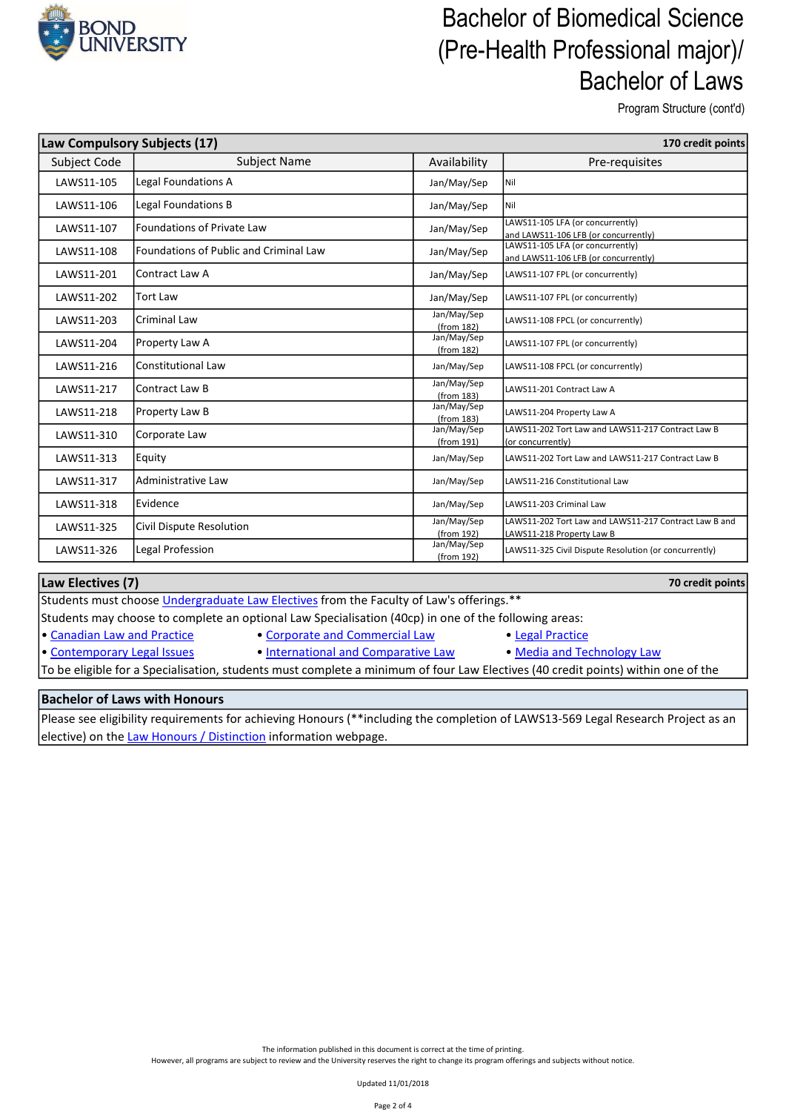

Program Structure (cont'd)

| Law Compulsory Subjects (17) |                                               |                           | 170 credit points                                                                  |
|------------------------------|-----------------------------------------------|---------------------------|------------------------------------------------------------------------------------|
| Subject Code                 | <b>Subject Name</b>                           | Availability              | Pre-requisites                                                                     |
| LAWS11-105                   | Legal Foundations A                           | Jan/May/Sep               | Nil                                                                                |
| LAWS11-106                   | Legal Foundations B                           | Jan/May/Sep               | Nil                                                                                |
| LAWS11-107                   | Foundations of Private Law                    | Jan/May/Sep               | LAWS11-105 LFA (or concurrently)<br>and LAWS11-106 LFB (or concurrently)           |
| LAWS11-108                   | <b>Foundations of Public and Criminal Law</b> | Jan/May/Sep               | LAWS11-105 LFA (or concurrently)<br>and LAWS11-106 LFB (or concurrently)           |
| LAWS11-201                   | Contract Law A                                | Jan/May/Sep               | LAWS11-107 FPL (or concurrently)                                                   |
| LAWS11-202                   | <b>Tort Law</b>                               | Jan/May/Sep               | LAWS11-107 FPL (or concurrently)                                                   |
| LAWS11-203                   | lCriminal Law                                 | Jan/May/Sep<br>(from 182) | LAWS11-108 FPCL (or concurrently)                                                  |
| LAWS11-204                   | Property Law A                                | Jan/May/Sep<br>(from 182) | LAWS11-107 FPL (or concurrently)                                                   |
| LAWS11-216                   | Constitutional Law                            | Jan/May/Sep               | LAWS11-108 FPCL (or concurrently)                                                  |
| LAWS11-217                   | Contract Law B                                | Jan/May/Sep<br>(from 183) | LAWS11-201 Contract Law A                                                          |
| LAWS11-218                   | Property Law B                                | Jan/May/Sep<br>(from 183) | LAWS11-204 Property Law A                                                          |
| LAWS11-310                   | Corporate Law                                 | Jan/May/Sep<br>(from 191) | LAWS11-202 Tort Law and LAWS11-217 Contract Law B<br>(or concurrently)             |
| LAWS11-313                   | Equity                                        | Jan/May/Sep               | LAWS11-202 Tort Law and LAWS11-217 Contract Law B                                  |
| LAWS11-317                   | lAdministrative Law                           | Jan/May/Sep               | LAWS11-216 Constitutional Law                                                      |
| LAWS11-318                   | Evidence                                      | Jan/May/Sep               | LAWS11-203 Criminal Law                                                            |
| LAWS11-325                   | Civil Dispute Resolution                      | Jan/May/Sep<br>(from 192) | LAWS11-202 Tort Law and LAWS11-217 Contract Law B and<br>LAWS11-218 Property Law B |
| LAWS11-326                   | Legal Profession                              | Jan/May/Sep<br>(from 192) | LAWS11-325 Civil Dispute Resolution (or concurrently)                              |

#### 70 credit points Students must choose Undergraduate Law Electives from the Faculty of Law's offerings.\*\* Students may choose to complete an optional Law Specialisation (40cp) in one of the following areas: • Canadian Law and Practice • Corporate and Commercial Law • Legal Practice • Contemporary Legal Issues • International and Comparative Law • Media and Technology Law Law Electives (7)

To be eligible for a Specialisation, students must complete a minimum of four Law Electives (40 credit points) within one of the

### Bachelor of Laws with Honours

Please see eligibility requirements for achieving Honours (\*\*including the completion of LAWS13-569 Legal Research Project as an elective) on the Law Honours / Distinction information webpage.

> The information published in this document is correct at the time of printing. However, all programs are subject to review and the University reserves the right to change its program offerings and subjects without notice.

> > Updated 11/01/2018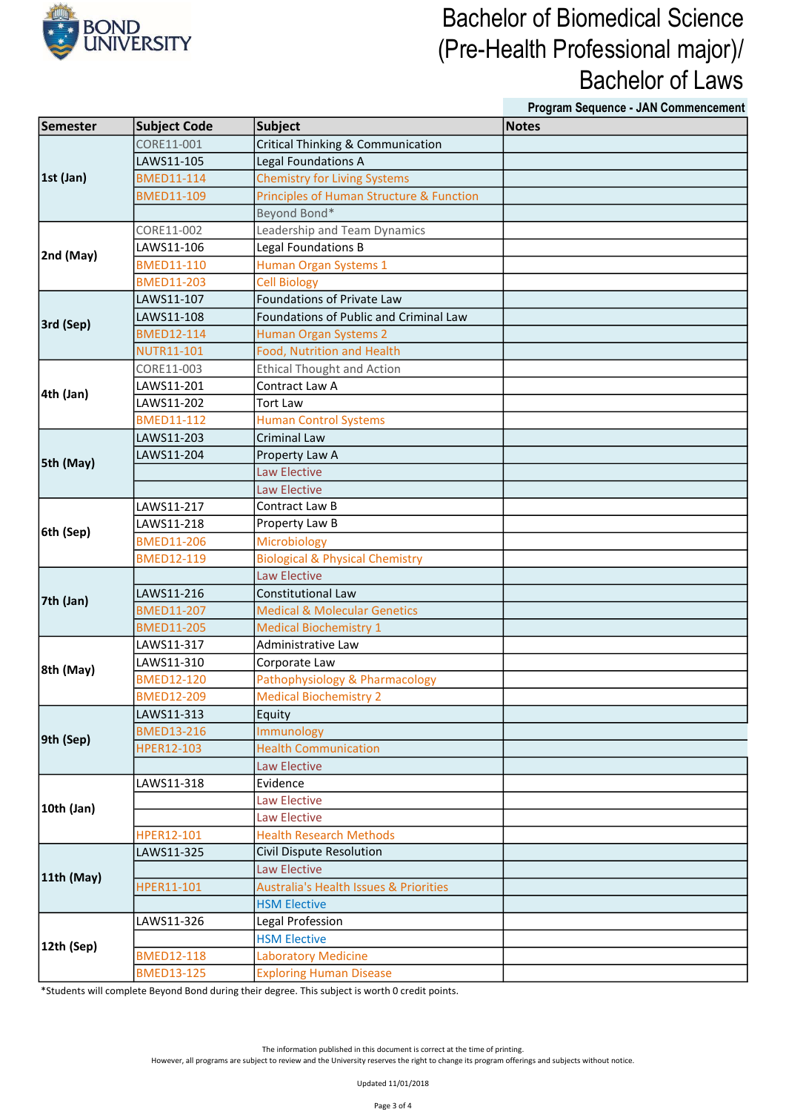

Program Sequence - JAN Commencement

| Semester   | Subject Code      | Subject                                           | <b>Notes</b> |
|------------|-------------------|---------------------------------------------------|--------------|
| 1st (Jan)  | CORE11-001        | <b>Critical Thinking &amp; Communication</b>      |              |
|            | LAWS11-105        | Legal Foundations A                               |              |
|            | <b>BMED11-114</b> | <b>Chemistry for Living Systems</b>               |              |
|            | <b>BMED11-109</b> | Principles of Human Structure & Function          |              |
|            |                   | Beyond Bond*                                      |              |
| 2nd (May)  | CORE11-002        | Leadership and Team Dynamics                      |              |
|            | LAWS11-106        | Legal Foundations B                               |              |
|            | <b>BMED11-110</b> | Human Organ Systems 1                             |              |
|            | <b>BMED11-203</b> | <b>Cell Biology</b>                               |              |
|            | LAWS11-107        | Foundations of Private Law                        |              |
| 3rd (Sep)  | LAWS11-108        | Foundations of Public and Criminal Law            |              |
|            | <b>BMED12-114</b> | Human Organ Systems 2                             |              |
|            | <b>NUTR11-101</b> | Food, Nutrition and Health                        |              |
|            | CORE11-003        | <b>Ethical Thought and Action</b>                 |              |
| 4th (Jan)  | LAWS11-201        | Contract Law A                                    |              |
|            | LAWS11-202        | <b>Tort Law</b>                                   |              |
|            | <b>BMED11-112</b> | <b>Human Control Systems</b>                      |              |
|            | LAWS11-203        | <b>Criminal Law</b>                               |              |
| 5th (May)  | LAWS11-204        | Property Law A                                    |              |
|            |                   | <b>Law Elective</b>                               |              |
|            |                   | <b>Law Elective</b>                               |              |
|            | LAWS11-217        | Contract Law B                                    |              |
| 6th (Sep)  | LAWS11-218        | Property Law B                                    |              |
|            | <b>BMED11-206</b> | Microbiology                                      |              |
|            | <b>BMED12-119</b> | <b>Biological &amp; Physical Chemistry</b>        |              |
|            |                   | <b>Law Elective</b>                               |              |
| 7th (Jan)  | LAWS11-216        | Constitutional Law                                |              |
|            | <b>BMED11-207</b> | <b>Medical &amp; Molecular Genetics</b>           |              |
|            | <b>BMED11-205</b> | <b>Medical Biochemistry 1</b>                     |              |
|            | LAWS11-317        | Administrative Law                                |              |
| 8th (May)  | LAWS11-310        | Corporate Law                                     |              |
|            | <b>BMED12-120</b> | Pathophysiology & Pharmacology                    |              |
|            | <b>BMED12-209</b> | <b>Medical Biochemistry 2</b>                     |              |
|            | LAWS11-313        | Equity                                            |              |
| 9th (Sep)  | <b>BMED13-216</b> | Immunology                                        |              |
|            | HPER12-103        | <b>Health Communication</b>                       |              |
|            |                   | <b>Law Elective</b>                               |              |
|            | LAWS11-318        | Evidence                                          |              |
| 10th (Jan) |                   | <b>Law Elective</b>                               |              |
|            |                   | Law Elective                                      |              |
|            | HPER12-101        | <b>Health Research Methods</b>                    |              |
| 11th (May) | LAWS11-325        | Civil Dispute Resolution                          |              |
|            |                   | <b>Law Elective</b>                               |              |
|            | HPER11-101        | <b>Australia's Health Issues &amp; Priorities</b> |              |
|            |                   | <b>HSM Elective</b>                               |              |
|            | LAWS11-326        | Legal Profession                                  |              |
| 12th (Sep) |                   | <b>HSM Elective</b>                               |              |
|            | <b>BMED12-118</b> | <b>Laboratory Medicine</b>                        |              |
|            | <b>BMED13-125</b> | <b>Exploring Human Disease</b>                    |              |

\*Students will complete Beyond Bond during their degree. This subject is worth 0 credit points.

The information published in this document is correct at the time of printing.

However, all programs are subject to review and the University reserves the right to change its program offerings and subjects without notice.